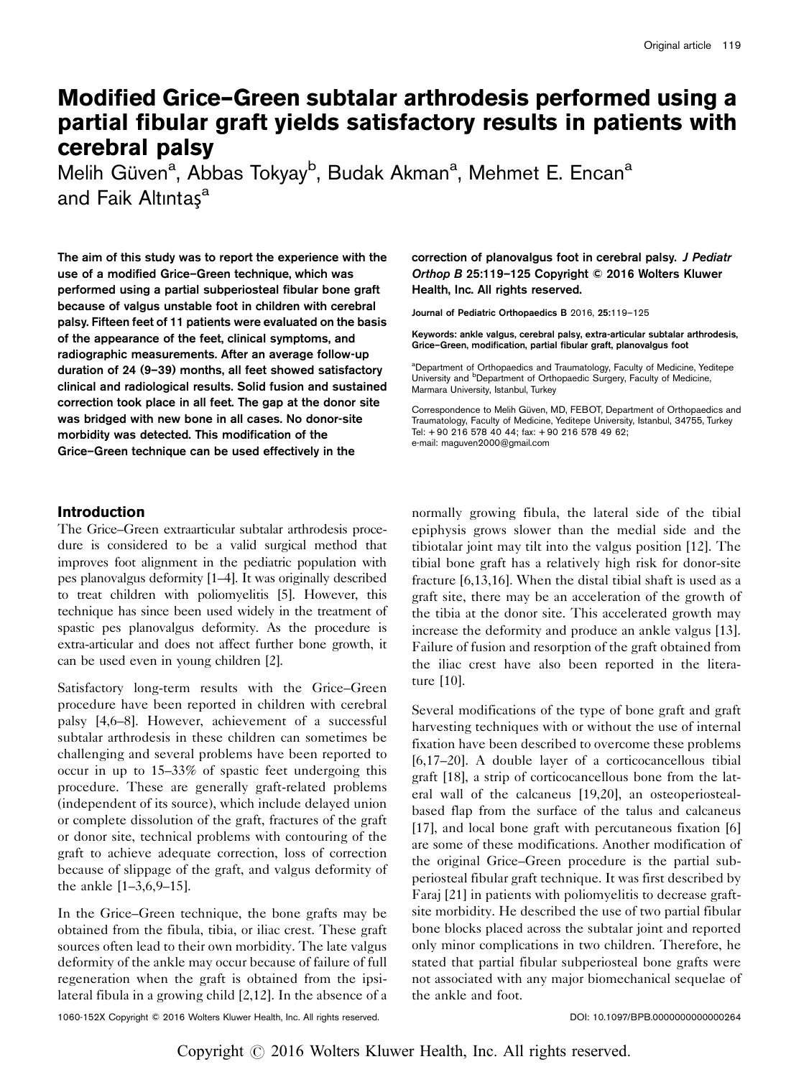## Modified Grice–Green subtalar arthrodesis performed using a partial fibular graft yields satisfactory results in patients with cerebral palsy

Melih Güven<sup>a</sup>, Abbas Tokyay<sup>b</sup>, Budak Akman<sup>a</sup>, Mehmet E. Encan<sup>a</sup> and Faik Altıntaş<sup>a</sup>

The aim of this study was to report the experience with the use of a modified Grice–Green technique, which was performed using a partial subperiosteal fibular bone graft because of valgus unstable foot in children with cerebral palsy. Fifteen feet of 11 patients were evaluated on the basis of the appearance of the feet, clinical symptoms, and radiographic measurements. After an average follow-up duration of 24 (9–39) months, all feet showed satisfactory clinical and radiological results. Solid fusion and sustained correction took place in all feet. The gap at the donor site was bridged with new bone in all cases. No donor-site morbidity was detected. This modification of the Grice–Green technique can be used effectively in the

# Introduction

The Grice–Green extraarticular subtalar arthrodesis procedure is considered to be a valid surgical method that improves foot alignment in the pediatric population with pes planovalgus deformity [\[1](#page-5-0)–[4\]](#page-6-0). It was originally described to treat children with poliomyelitis [\[5](#page-6-0)]. However, this technique has since been used widely in the treatment of spastic pes planovalgus deformity. As the procedure is extra-articular and does not affect further bone growth, it can be used even in young children [\[2](#page-5-0)].

Satisfactory long-term results with the Grice–Green procedure have been reported in children with cerebral palsy [\[4,6](#page-6-0)–[8](#page-6-0)]. However, achievement of a successful subtalar arthrodesis in these children can sometimes be challenging and several problems have been reported to occur in up to 15–33% of spastic feet undergoing this procedure. These are generally graft-related problems (independent of its source), which include delayed union or complete dissolution of the graft, fractures of the graft or donor site, technical problems with contouring of the graft to achieve adequate correction, loss of correction because of slippage of the graft, and valgus deformity of the ankle [\[1](#page-5-0)–[3](#page-6-0),[6,9](#page-6-0)–[15](#page-6-0)].

In the Grice–Green technique, the bone grafts may be obtained from the fibula, tibia, or iliac crest. These graft sources often lead to their own morbidity. The late valgus deformity of the ankle may occur because of failure of full regeneration when the graft is obtained from the ipsilateral fibula in a growing child [\[2](#page-5-0),[12\]](#page-6-0). In the absence of a

correction of planovalgus foot in cerebral palsy. J Pediatr Orthop B 25:119–125 Copyright © 2016 Wolters Kluwer Health, Inc. All rights reserved.

Journal of Pediatric Orthopaedics B 2016, 25:119–125

Keywords: ankle valgus, cerebral palsy, extra-articular subtalar arthrodesis, Grice–Green, modification, partial fibular graft, planovalgus foot

<sup>a</sup>Department of Orthopaedics and Traumatology, Faculty of Medicine, Yeditepe University and <sup>b</sup>Department of Orthopaedic Surgery, Faculty of Medicine, Marmara University, Istanbul, Turkey

Correspondence to Melih Güven, MD, FEBOT, Department of Orthopaedics and Traumatology, Faculty of Medicine, Yeditepe University, Istanbul, 34755, Turkey  $T_{\text{el}}$ ; + 90 216 578 40 44; fax: + 90 216 578 49 62; e-mail: [maguven2000@gmail.com](mailto:maguven2000@gmail.com)

normally growing fibula, the lateral side of the tibial epiphysis grows slower than the medial side and the tibiotalar joint may tilt into the valgus position [\[12](#page-6-0)]. The tibial bone graft has a relatively high risk for donor-site fracture [\[6,13](#page-6-0),[16\]](#page-6-0). When the distal tibial shaft is used as a graft site, there may be an acceleration of the growth of the tibia at the donor site. This accelerated growth may increase the deformity and produce an ankle valgus [\[13](#page-6-0)]. Failure of fusion and resorption of the graft obtained from the iliac crest have also been reported in the literature [\[10](#page-6-0)].

Several modifications of the type of bone graft and graft harvesting techniques with or without the use of internal fixation have been described to overcome these problems [\[6](#page-6-0),[17](#page-6-0)–[20\]](#page-6-0). A double layer of a corticocancellous tibial graft [\[18\]](#page-6-0), a strip of corticocancellous bone from the lateral wall of the calcaneus [\[19](#page-6-0),[20\]](#page-6-0), an osteoperiostealbased flap from the surface of the talus and calcaneus [\[17](#page-6-0)], and local bone graft with percutaneous fixation [\[6\]](#page-6-0) are some of these modifications. Another modification of the original Grice–Green procedure is the partial subperiosteal fibular graft technique. It was first described by Faraj [\[21\]](#page-6-0) in patients with poliomyelitis to decrease graftsite morbidity. He described the use of two partial fibular bone blocks placed across the subtalar joint and reported only minor complications in two children. Therefore, he stated that partial fibular subperiosteal bone grafts were not associated with any major biomechanical sequelae of the ankle and foot.

1060-152X Copyright © 2016 Wolters Kluwer Health, Inc. All rights reserved. <br>
001: 10.1097/BPB.000000000000000264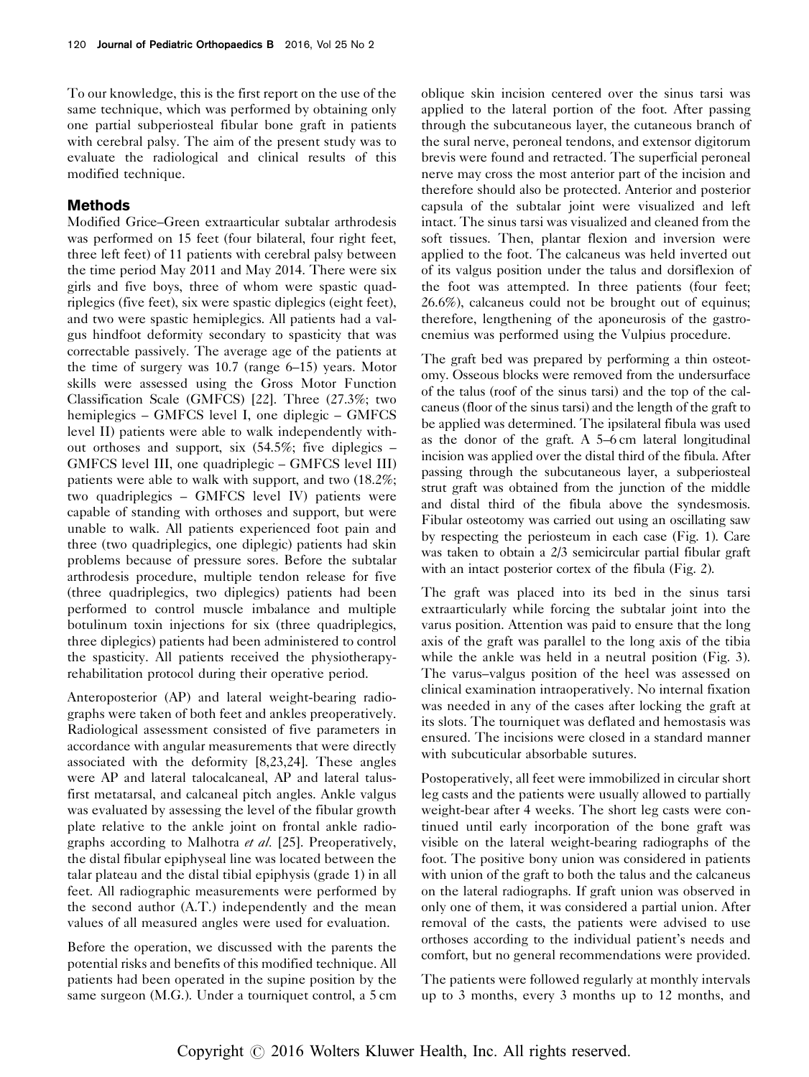To our knowledge, this is the first report on the use of the same technique, which was performed by obtaining only one partial subperiosteal fibular bone graft in patients with cerebral palsy. The aim of the present study was to evaluate the radiological and clinical results of this modified technique.

## Methods

Modified Grice–Green extraarticular subtalar arthrodesis was performed on 15 feet (four bilateral, four right feet, three left feet) of 11 patients with cerebral palsy between the time period May 2011 and May 2014. There were six girls and five boys, three of whom were spastic quadriplegics (five feet), six were spastic diplegics (eight feet), and two were spastic hemiplegics. All patients had a valgus hindfoot deformity secondary to spasticity that was correctable passively. The average age of the patients at the time of surgery was 10.7 (range 6–15) years. Motor skills were assessed using the Gross Motor Function Classification Scale (GMFCS) [\[22](#page-6-0)]. Three (27.3%; two hemiplegics – GMFCS level I, one diplegic – GMFCS level II) patients were able to walk independently without orthoses and support, six (54.5%; five diplegics – GMFCS level III, one quadriplegic – GMFCS level III) patients were able to walk with support, and two (18.2%; two quadriplegics – GMFCS level IV) patients were capable of standing with orthoses and support, but were unable to walk. All patients experienced foot pain and three (two quadriplegics, one diplegic) patients had skin problems because of pressure sores. Before the subtalar arthrodesis procedure, multiple tendon release for five (three quadriplegics, two diplegics) patients had been performed to control muscle imbalance and multiple botulinum toxin injections for six (three quadriplegics, three diplegics) patients had been administered to control the spasticity. All patients received the physiotherapyrehabilitation protocol during their operative period.

Anteroposterior (AP) and lateral weight-bearing radiographs were taken of both feet and ankles preoperatively. Radiological assessment consisted of five parameters in accordance with angular measurements that were directly associated with the deformity [\[8](#page-6-0),[23,24](#page-6-0)]. These angles were AP and lateral talocalcaneal, AP and lateral talusfirst metatarsal, and calcaneal pitch angles. Ankle valgus was evaluated by assessing the level of the fibular growth plate relative to the ankle joint on frontal ankle radiographs according to Malhotra et al. [\[25\]](#page-6-0). Preoperatively, the distal fibular epiphyseal line was located between the talar plateau and the distal tibial epiphysis (grade 1) in all feet. All radiographic measurements were performed by the second author (A.T.) independently and the mean values of all measured angles were used for evaluation.

Before the operation, we discussed with the parents the potential risks and benefits of this modified technique. All patients had been operated in the supine position by the same surgeon (M.G.). Under a tourniquet control, a 5 cm oblique skin incision centered over the sinus tarsi was applied to the lateral portion of the foot. After passing through the subcutaneous layer, the cutaneous branch of the sural nerve, peroneal tendons, and extensor digitorum brevis were found and retracted. The superficial peroneal nerve may cross the most anterior part of the incision and therefore should also be protected. Anterior and posterior capsula of the subtalar joint were visualized and left intact. The sinus tarsi was visualized and cleaned from the soft tissues. Then, plantar flexion and inversion were applied to the foot. The calcaneus was held inverted out of its valgus position under the talus and dorsiflexion of the foot was attempted. In three patients (four feet; 26.6%), calcaneus could not be brought out of equinus; therefore, lengthening of the aponeurosis of the gastrocnemius was performed using the Vulpius procedure.

The graft bed was prepared by performing a thin osteotomy. Osseous blocks were removed from the undersurface of the talus (roof of the sinus tarsi) and the top of the calcaneus (floor of the sinus tarsi) and the length of the graft to be applied was determined. The ipsilateral fibula was used as the donor of the graft. A 5–6 cm lateral longitudinal incision was applied over the distal third of the fibula. After passing through the subcutaneous layer, a subperiosteal strut graft was obtained from the junction of the middle and distal third of the fibula above the syndesmosis. Fibular osteotomy was carried out using an oscillating saw by respecting the periosteum in each case [\(Fig. 1](#page-2-0)). Care was taken to obtain a 2/3 semicircular partial fibular graft with an intact posterior cortex of the fibula [\(Fig. 2](#page-2-0)).

The graft was placed into its bed in the sinus tarsi extraarticularly while forcing the subtalar joint into the varus position. Attention was paid to ensure that the long axis of the graft was parallel to the long axis of the tibia while the ankle was held in a neutral position ([Fig. 3](#page-3-0)). The varus–valgus position of the heel was assessed on clinical examination intraoperatively. No internal fixation was needed in any of the cases after locking the graft at its slots. The tourniquet was deflated and hemostasis was ensured. The incisions were closed in a standard manner with subcuticular absorbable sutures.

Postoperatively, all feet were immobilized in circular short leg casts and the patients were usually allowed to partially weight-bear after 4 weeks. The short leg casts were continued until early incorporation of the bone graft was visible on the lateral weight-bearing radiographs of the foot. The positive bony union was considered in patients with union of the graft to both the talus and the calcaneus on the lateral radiographs. If graft union was observed in only one of them, it was considered a partial union. After removal of the casts, the patients were advised to use orthoses according to the individual patient's needs and comfort, but no general recommendations were provided.

The patients were followed regularly at monthly intervals up to 3 months, every 3 months up to 12 months, and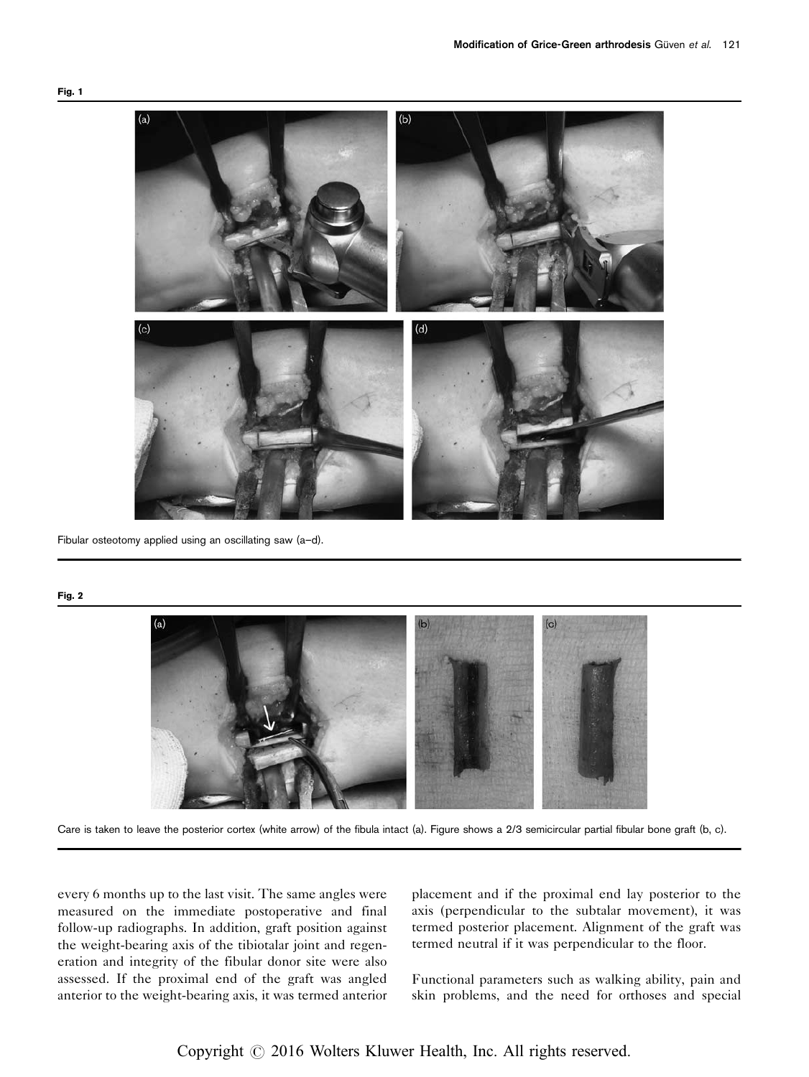<span id="page-2-0"></span>

Fibular osteotomy applied using an oscillating saw (a–d).

Fig. 2



Care is taken to leave the posterior cortex (white arrow) of the fibula intact (a). Figure shows a 2/3 semicircular partial fibular bone graft (b, c).

every 6 months up to the last visit. The same angles were measured on the immediate postoperative and final follow-up radiographs. In addition, graft position against the weight-bearing axis of the tibiotalar joint and regeneration and integrity of the fibular donor site were also assessed. If the proximal end of the graft was angled anterior to the weight-bearing axis, it was termed anterior

placement and if the proximal end lay posterior to the axis (perpendicular to the subtalar movement), it was termed posterior placement. Alignment of the graft was termed neutral if it was perpendicular to the floor.

Functional parameters such as walking ability, pain and skin problems, and the need for orthoses and special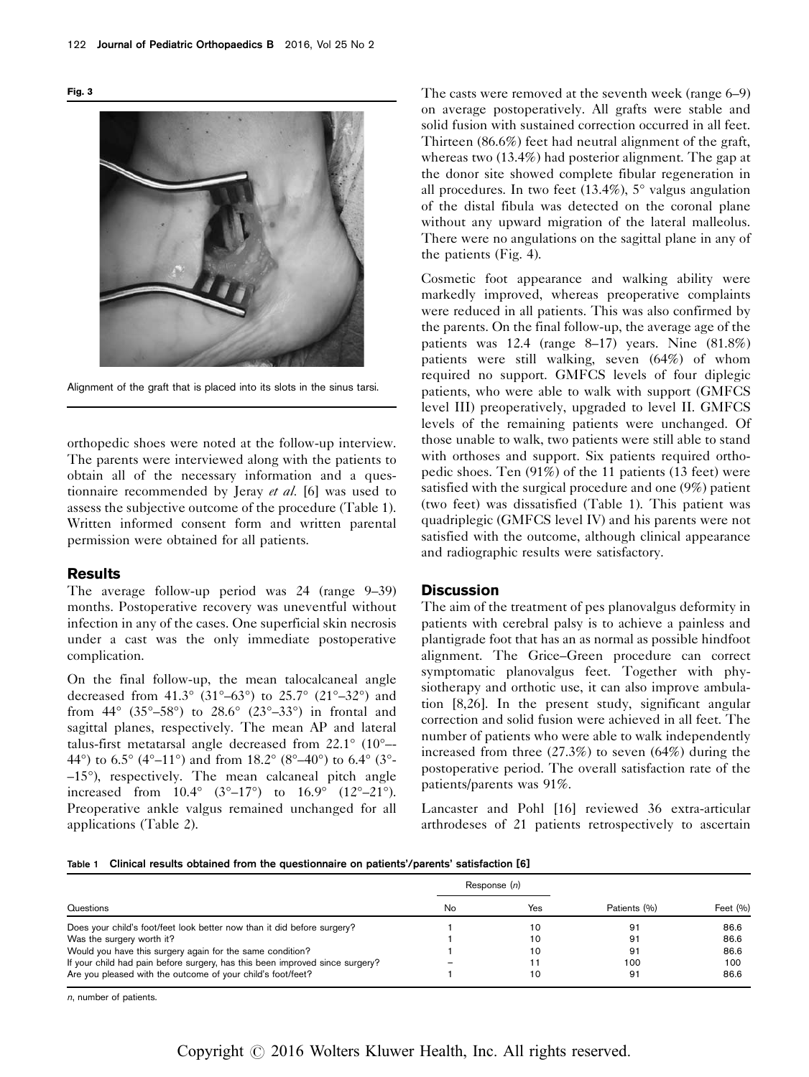<span id="page-3-0"></span>



Alignment of the graft that is placed into its slots in the sinus tarsi.

orthopedic shoes were noted at the follow-up interview. The parents were interviewed along with the patients to obtain all of the necessary information and a questionnaire recommended by Jeray et al. [\[6](#page-6-0)] was used to assess the subjective outcome of the procedure (Table 1). Written informed consent form and written parental permission were obtained for all patients.

## Results

The average follow-up period was 24 (range 9–39) months. Postoperative recovery was uneventful without infection in any of the cases. One superficial skin necrosis under a cast was the only immediate postoperative complication.

On the final follow-up, the mean talocalcaneal angle decreased from 41.3° (31°–63°) to 25.7° (21°–32°) and from 44° (35°–58°) to 28.6° (23°–33°) in frontal and sagittal planes, respectively. The mean AP and lateral talus-first metatarsal angle decreased from 22.1° (10°–- 44°) to 6.5° (4°–11°) and from 18.2° (8°–40°) to 6.4° (3°– –15°), respectively. The mean calcaneal pitch angle increased from  $10.4^{\circ}$   $(3^{\circ}-17^{\circ})$  to  $16.9^{\circ}$   $(12^{\circ}-21^{\circ})$ . Preoperative ankle valgus remained unchanged for all applications ([Table 2](#page-4-0)).

The casts were removed at the seventh week (range 6–9) on average postoperatively. All grafts were stable and solid fusion with sustained correction occurred in all feet. Thirteen (86.6%) feet had neutral alignment of the graft, whereas two (13.4%) had posterior alignment. The gap at the donor site showed complete fibular regeneration in all procedures. In two feet (13.4%), 5° valgus angulation of the distal fibula was detected on the coronal plane without any upward migration of the lateral malleolus. There were no angulations on the sagittal plane in any of the patients ([Fig. 4\)](#page-4-0).

Cosmetic foot appearance and walking ability were markedly improved, whereas preoperative complaints were reduced in all patients. This was also confirmed by the parents. On the final follow-up, the average age of the patients was 12.4 (range 8–17) years. Nine (81.8%) patients were still walking, seven (64%) of whom required no support. GMFCS levels of four diplegic patients, who were able to walk with support (GMFCS level III) preoperatively, upgraded to level II. GMFCS levels of the remaining patients were unchanged. Of those unable to walk, two patients were still able to stand with orthoses and support. Six patients required orthopedic shoes. Ten (91%) of the 11 patients (13 feet) were satisfied with the surgical procedure and one (9%) patient (two feet) was dissatisfied (Table 1). This patient was quadriplegic (GMFCS level IV) and his parents were not satisfied with the outcome, although clinical appearance and radiographic results were satisfactory.

## **Discussion**

The aim of the treatment of pes planovalgus deformity in patients with cerebral palsy is to achieve a painless and plantigrade foot that has an as normal as possible hindfoot alignment. The Grice–Green procedure can correct symptomatic planovalgus feet. Together with physiotherapy and orthotic use, it can also improve ambulation [\[8,26\]](#page-6-0). In the present study, significant angular correction and solid fusion were achieved in all feet. The number of patients who were able to walk independently increased from three (27.3%) to seven (64%) during the postoperative period. The overall satisfaction rate of the patients/parents was 91%.

Lancaster and Pohl [\[16](#page-6-0)] reviewed 36 extra-articular arthrodeses of 21 patients retrospectively to ascertain

Table 1 Clinical results obtained from the questionnaire on patients'/parents' satisfaction [\[6\]](#page-6-0)

|                                                                              | Response $(n)$ |     |              |              |
|------------------------------------------------------------------------------|----------------|-----|--------------|--------------|
| Questions                                                                    | No             | Yes | Patients (%) | Feet $(\% )$ |
| Does your child's foot/feet look better now than it did before surgery?      |                | 10  | 91           | 86.6         |
| Was the surgery worth it?                                                    |                | 10  | 91           | 86.6         |
| Would you have this surgery again for the same condition?                    |                | 10  | 91           | 86.6         |
| If your child had pain before surgery, has this been improved since surgery? |                |     | 100          | 100          |
| Are you pleased with the outcome of your child's foot/feet?                  |                | 10  | 91           | 86.6         |

n, number of patients.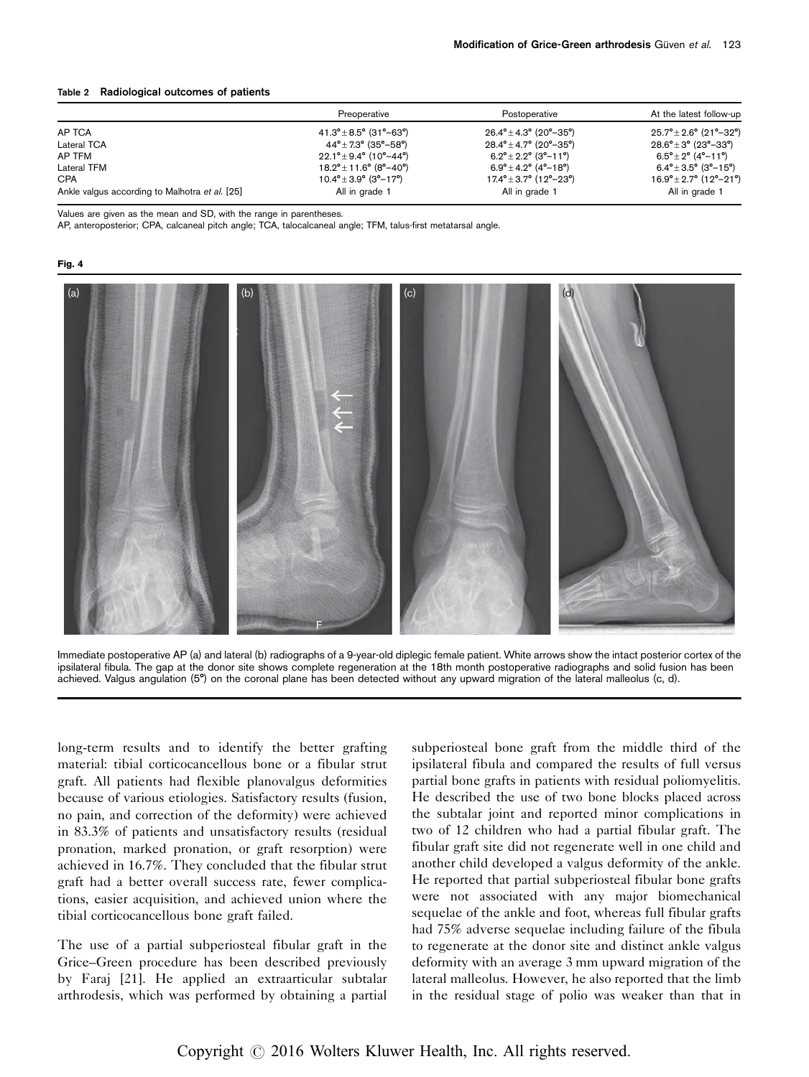#### <span id="page-4-0"></span>Table 2 Radiological outcomes of patients

|                                                | Preoperative                             | Postoperative                   | At the latest follow-up                |
|------------------------------------------------|------------------------------------------|---------------------------------|----------------------------------------|
| AP TCA                                         | $41.3^{\circ} \pm 8.5^{\circ}$ (31°–63°) | $26.4^{\circ}$ ± 4.3° (20°–35°) | $25.7^{\circ}$ ± 2.6° (21°–32°)        |
| Lateral TCA                                    | $44^{\circ}$ ± 7.3° (35°–58°)            | $28.4^{\circ}$ ± 4.7° (20°–35°) | $28.6^{\circ} \pm 3^{\circ}$ (23°–33°) |
| AP TFM                                         | $22.1^{\circ}$ ± 9.4° (10°–44°)          | $6.2^{\circ}$ ± 2.2° (3° – 11°) | $6.5^{\circ}$ ± 2° (4°–11°)            |
| <b>Lateral TFM</b>                             | $18.2^{\circ}$ ± 11.6° (8°–40°)          | $6.9^{\circ}$ ± 4.2° (4° – 18°) | $6.4^{\circ}$ ± 3.5° (3°–15°)          |
| <b>CPA</b>                                     | $10.4^{\circ} \pm 3.9^{\circ}$ (3°–17°)  | $17.4^{\circ}$ ± 3.7° (12°-23°) | $16.9^{\circ}$ ± 2.7° (12°–21°)        |
| Ankle valgus according to Malhotra et al. [25] | All in grade 1                           | All in grade 1                  | All in grade 1                         |

Values are given as the mean and SD, with the range in parentheses.

AP, anteroposterior; CPA, calcaneal pitch angle; TCA, talocalcaneal angle; TFM, talus-first metatarsal angle.

#### Fig. 4



Immediate postoperative AP (a) and lateral (b) radiographs of a 9-year-old diplegic female patient. White arrows show the intact posterior cortex of the ipsilateral fibula. The gap at the donor site shows complete regeneration at the 18th month postoperative radiographs and solid fusion has been achieved. Valgus angulation (5°) on the coronal plane has been detected without any upward migration of the lateral malleolus (c, d).

long-term results and to identify the better grafting material: tibial corticocancellous bone or a fibular strut graft. All patients had flexible planovalgus deformities because of various etiologies. Satisfactory results (fusion, no pain, and correction of the deformity) were achieved in 83.3% of patients and unsatisfactory results (residual pronation, marked pronation, or graft resorption) were achieved in 16.7%. They concluded that the fibular strut graft had a better overall success rate, fewer complications, easier acquisition, and achieved union where the tibial corticocancellous bone graft failed.

The use of a partial subperiosteal fibular graft in the Grice–Green procedure has been described previously by Faraj [\[21](#page-6-0)]. He applied an extraarticular subtalar arthrodesis, which was performed by obtaining a partial subperiosteal bone graft from the middle third of the ipsilateral fibula and compared the results of full versus partial bone grafts in patients with residual poliomyelitis. He described the use of two bone blocks placed across the subtalar joint and reported minor complications in two of 12 children who had a partial fibular graft. The fibular graft site did not regenerate well in one child and another child developed a valgus deformity of the ankle. He reported that partial subperiosteal fibular bone grafts were not associated with any major biomechanical sequelae of the ankle and foot, whereas full fibular grafts had 75% adverse sequelae including failure of the fibula to regenerate at the donor site and distinct ankle valgus deformity with an average 3 mm upward migration of the lateral malleolus. However, he also reported that the limb in the residual stage of polio was weaker than that in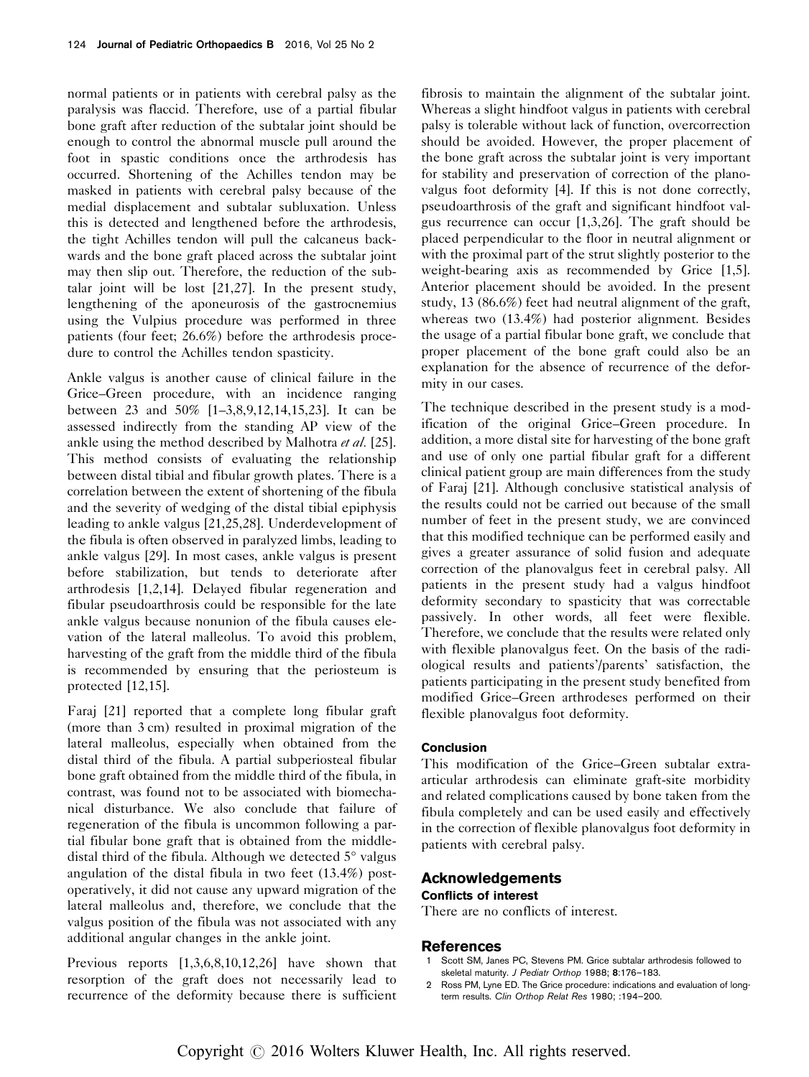<span id="page-5-0"></span>normal patients or in patients with cerebral palsy as the paralysis was flaccid. Therefore, use of a partial fibular bone graft after reduction of the subtalar joint should be enough to control the abnormal muscle pull around the foot in spastic conditions once the arthrodesis has occurred. Shortening of the Achilles tendon may be masked in patients with cerebral palsy because of the medial displacement and subtalar subluxation. Unless this is detected and lengthened before the arthrodesis, the tight Achilles tendon will pull the calcaneus backwards and the bone graft placed across the subtalar joint may then slip out. Therefore, the reduction of the subtalar joint will be lost [\[21](#page-6-0),[27\]](#page-6-0). In the present study, lengthening of the aponeurosis of the gastrocnemius using the Vulpius procedure was performed in three patients (four feet; 26.6%) before the arthrodesis procedure to control the Achilles tendon spasticity.

Ankle valgus is another cause of clinical failure in the Grice–Green procedure, with an incidence ranging between 23 and 50% [1–[3,8](#page-6-0),[9,12](#page-6-0),[14,15](#page-6-0),[23\]](#page-6-0). It can be assessed indirectly from the standing AP view of the ankle using the method described by Malhotra et al. [\[25](#page-6-0)]. This method consists of evaluating the relationship between distal tibial and fibular growth plates. There is a correlation between the extent of shortening of the fibula and the severity of wedging of the distal tibial epiphysis leading to ankle valgus [\[21](#page-6-0),[25,28](#page-6-0)]. Underdevelopment of the fibula is often observed in paralyzed limbs, leading to ankle valgus [\[29](#page-6-0)]. In most cases, ankle valgus is present before stabilization, but tends to deteriorate after arthrodesis [1,2[,14](#page-6-0)]. Delayed fibular regeneration and fibular pseudoarthrosis could be responsible for the late ankle valgus because nonunion of the fibula causes elevation of the lateral malleolus. To avoid this problem, harvesting of the graft from the middle third of the fibula is recommended by ensuring that the periosteum is protected [\[12](#page-6-0),[15\]](#page-6-0).

Faraj [\[21](#page-6-0)] reported that a complete long fibular graft (more than 3 cm) resulted in proximal migration of the lateral malleolus, especially when obtained from the distal third of the fibula. A partial subperiosteal fibular bone graft obtained from the middle third of the fibula, in contrast, was found not to be associated with biomechanical disturbance. We also conclude that failure of regeneration of the fibula is uncommon following a partial fibular bone graft that is obtained from the middledistal third of the fibula. Although we detected 5° valgus angulation of the distal fibula in two feet (13.4%) postoperatively, it did not cause any upward migration of the lateral malleolus and, therefore, we conclude that the valgus position of the fibula was not associated with any additional angular changes in the ankle joint.

Previous reports [1[,3](#page-6-0),[6,8](#page-6-0),[10,12](#page-6-0),[26\]](#page-6-0) have shown that resorption of the graft does not necessarily lead to recurrence of the deformity because there is sufficient fibrosis to maintain the alignment of the subtalar joint. Whereas a slight hindfoot valgus in patients with cerebral palsy is tolerable without lack of function, overcorrection should be avoided. However, the proper placement of the bone graft across the subtalar joint is very important for stability and preservation of correction of the planovalgus foot deformity [\[4\]](#page-6-0). If this is not done correctly, pseudoarthrosis of the graft and significant hindfoot valgus recurrence can occur [1,[3,26](#page-6-0)]. The graft should be placed perpendicular to the floor in neutral alignment or with the proximal part of the strut slightly posterior to the weight-bearing axis as recommended by Grice [1[,5](#page-6-0)]. Anterior placement should be avoided. In the present study, 13 (86.6%) feet had neutral alignment of the graft, whereas two (13.4%) had posterior alignment. Besides the usage of a partial fibular bone graft, we conclude that proper placement of the bone graft could also be an explanation for the absence of recurrence of the deformity in our cases.

The technique described in the present study is a modification of the original Grice–Green procedure. In addition, a more distal site for harvesting of the bone graft and use of only one partial fibular graft for a different clinical patient group are main differences from the study of Faraj [\[21\]](#page-6-0). Although conclusive statistical analysis of the results could not be carried out because of the small number of feet in the present study, we are convinced that this modified technique can be performed easily and gives a greater assurance of solid fusion and adequate correction of the planovalgus feet in cerebral palsy. All patients in the present study had a valgus hindfoot deformity secondary to spasticity that was correctable passively. In other words, all feet were flexible. Therefore, we conclude that the results were related only with flexible planovalgus feet. On the basis of the radiological results and patients'/parents' satisfaction, the patients participating in the present study benefited from modified Grice–Green arthrodeses performed on their flexible planovalgus foot deformity.

## Conclusion

This modification of the Grice–Green subtalar extraarticular arthrodesis can eliminate graft-site morbidity and related complications caused by bone taken from the fibula completely and can be used easily and effectively in the correction of flexible planovalgus foot deformity in patients with cerebral palsy.

## Acknowledgements

## Conflicts of interest

There are no conflicts of interest.

#### References

- Scott SM, Janes PC, Stevens PM. Grice subtalar arthrodesis followed to skeletal maturity. J Pediatr Orthop 1988; 8:176-183.
- 2 Ross PM, Lyne ED. The Grice procedure: indications and evaluation of longterm results. Clin Orthop Relat Res 1980; :194–200.